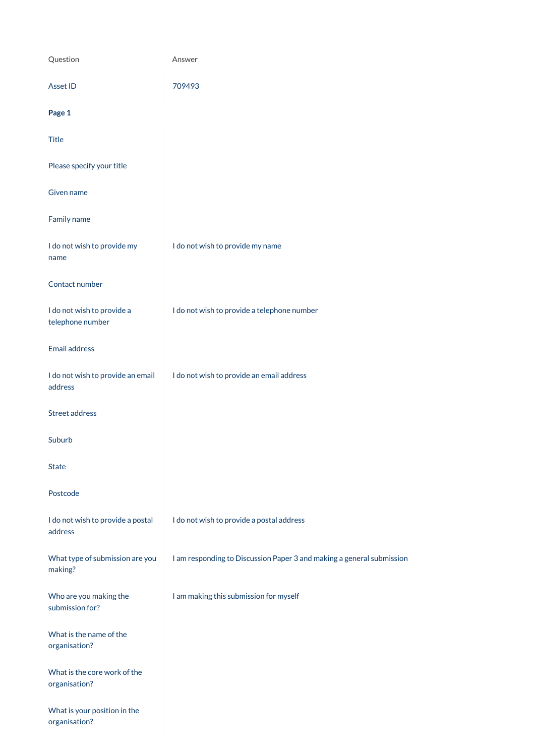| Question                                       | Answer                                                                |
|------------------------------------------------|-----------------------------------------------------------------------|
| Asset ID                                       | 709493                                                                |
| Page 1                                         |                                                                       |
| <b>Title</b>                                   |                                                                       |
| Please specify your title                      |                                                                       |
| Given name                                     |                                                                       |
| Family name                                    |                                                                       |
| I do not wish to provide my<br>name            | I do not wish to provide my name                                      |
| Contact number                                 |                                                                       |
| I do not wish to provide a<br>telephone number | I do not wish to provide a telephone number                           |
| <b>Email address</b>                           |                                                                       |
| I do not wish to provide an email<br>address   | I do not wish to provide an email address                             |
| <b>Street address</b>                          |                                                                       |
| Suburb                                         |                                                                       |
| <b>State</b>                                   |                                                                       |
| Postcode                                       |                                                                       |
| I do not wish to provide a postal<br>address   | I do not wish to provide a postal address                             |
| What type of submission are you                | I am responding to Discussion Paper 3 and making a general submission |

making?

Who are you making the submission for?

I am making this submission for myself

What is the name of the organisation?

What is the core work of the organisation?

What is your position in the organisation?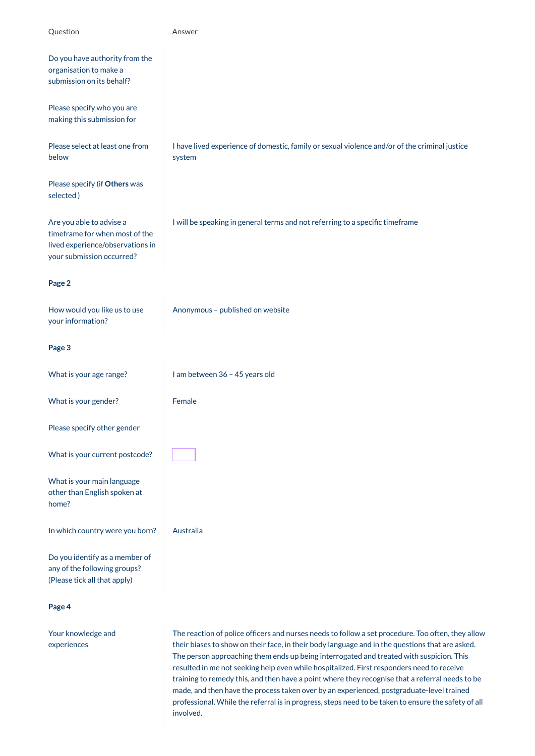| Question                                                                                                                    | Answer                                                                                                  |
|-----------------------------------------------------------------------------------------------------------------------------|---------------------------------------------------------------------------------------------------------|
| Do you have authority from the<br>organisation to make a<br>submission on its behalf?                                       |                                                                                                         |
| Please specify who you are<br>making this submission for                                                                    |                                                                                                         |
| Please select at least one from<br>below                                                                                    | I have lived experience of domestic, family or sexual violence and/or of the criminal justice<br>system |
| Please specify (if Others was<br>selected)                                                                                  |                                                                                                         |
| Are you able to advise a<br>timeframe for when most of the<br>lived experience/observations in<br>your submission occurred? | I will be speaking in general terms and not referring to a specific timeframe                           |
| Page 2                                                                                                                      |                                                                                                         |
| How would you like us to use<br>your information?                                                                           | Anonymous - published on website                                                                        |
| Page 3                                                                                                                      |                                                                                                         |
| What is your age range?                                                                                                     | I am between 36 - 45 years old                                                                          |
| What is your gender?                                                                                                        | Female                                                                                                  |
| Please specify other gender                                                                                                 |                                                                                                         |
| What is your current postcode?                                                                                              |                                                                                                         |
| What is your main language<br>other than English spoken at<br>home?                                                         |                                                                                                         |
| In which country were you born?                                                                                             | Australia                                                                                               |
| Do you identify as a member of<br>منازحت والمراكب                                                                           |                                                                                                         |

any of the following  $\epsilon$  oup (Please tick all that apply)

**Page 4**

Your knowledge and experiences

The reaction of police officers and nurses needs to follow a set procedure. Too often, they allow their biases to show on their face, in their body language and in the questions that are asked. The person approaching them ends up being interrogated and treated with suspicion. This resulted in me not seeking help even while hospitalized. First responders need to receive training to remedy this, and then have a point where they recognise that a referral needs to be made, and then have the process taken over by an experienced, postgraduate-level trained professional. While the referral is in progress, steps need to be taken to ensure the safety of all involved.